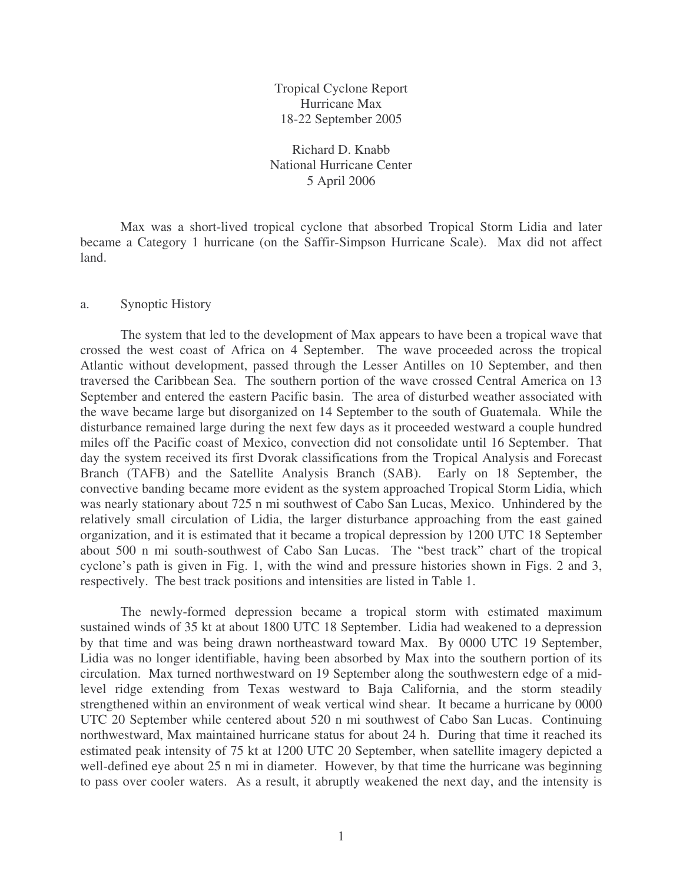Tropical Cyclone Report Hurricane Max 18-22 September 2005

Richard D. Knabb National Hurricane Center 5 April 2006

Max was a short-lived tropical cyclone that absorbed Tropical Storm Lidia and later became a Category 1 hurricane (on the Saffir-Simpson Hurricane Scale). Max did not affect land.

## a. Synoptic History

The system that led to the development of Max appears to have been a tropical wave that crossed the west coast of Africa on 4 September. The wave proceeded across the tropical Atlantic without development, passed through the Lesser Antilles on 10 September, and then traversed the Caribbean Sea. The southern portion of the wave crossed Central America on 13 September and entered the eastern Pacific basin. The area of disturbed weather associated with the wave became large but disorganized on 14 September to the south of Guatemala. While the disturbance remained large during the next few days as it proceeded westward a couple hundred miles off the Pacific coast of Mexico, convection did not consolidate until 16 September. That day the system received its first Dvorak classifications from the Tropical Analysis and Forecast Branch (TAFB) and the Satellite Analysis Branch (SAB). Early on 18 September, the convective banding became more evident as the system approached Tropical Storm Lidia, which was nearly stationary about 725 n mi southwest of Cabo San Lucas, Mexico. Unhindered by the relatively small circulation of Lidia, the larger disturbance approaching from the east gained organization, and it is estimated that it became a tropical depression by 1200 UTC 18 September about 500 n mi south-southwest of Cabo San Lucas. The "best track" chart of the tropical cyclone's path is given in Fig. 1, with the wind and pressure histories shown in Figs. 2 and 3, respectively. The best track positions and intensities are listed in Table 1.

The newly-formed depression became a tropical storm with estimated maximum sustained winds of 35 kt at about 1800 UTC 18 September. Lidia had weakened to a depression by that time and was being drawn northeastward toward Max. By 0000 UTC 19 September, Lidia was no longer identifiable, having been absorbed by Max into the southern portion of its circulation. Max turned northwestward on 19 September along the southwestern edge of a midlevel ridge extending from Texas westward to Baja California, and the storm steadily strengthened within an environment of weak vertical wind shear. It became a hurricane by 0000 UTC 20 September while centered about 520 n mi southwest of Cabo San Lucas. Continuing northwestward, Max maintained hurricane status for about 24 h. During that time it reached its estimated peak intensity of 75 kt at 1200 UTC 20 September, when satellite imagery depicted a well-defined eye about 25 n mi in diameter. However, by that time the hurricane was beginning to pass over cooler waters. As a result, it abruptly weakened the next day, and the intensity is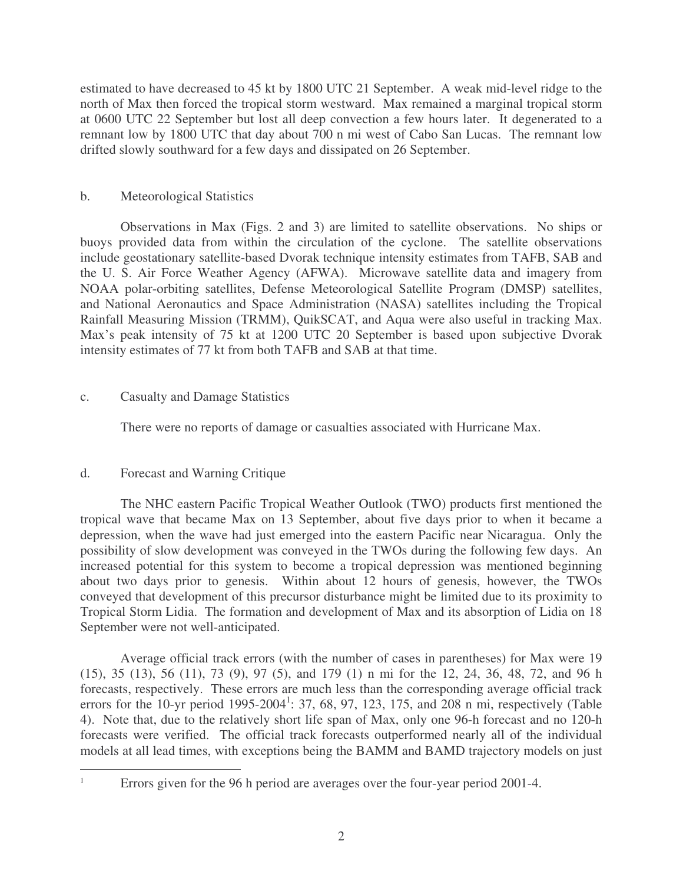estimated to have decreased to 45 kt by 1800 UTC 21 September. A weak mid-level ridge to the north of Max then forced the tropical storm westward. Max remained a marginal tropical storm at 0600 UTC 22 September but lost all deep convection a few hours later. It degenerated to a remnant low by 1800 UTC that day about 700 n mi west of Cabo San Lucas. The remnant low drifted slowly southward for a few days and dissipated on 26 September.

## b. Meteorological Statistics

Observations in Max (Figs. 2 and 3) are limited to satellite observations. No ships or buoys provided data from within the circulation of the cyclone. The satellite observations include geostationary satellite-based Dvorak technique intensity estimates from TAFB, SAB and the U. S. Air Force Weather Agency (AFWA). Microwave satellite data and imagery from NOAA polar-orbiting satellites, Defense Meteorological Satellite Program (DMSP) satellites, and National Aeronautics and Space Administration (NASA) satellites including the Tropical Rainfall Measuring Mission (TRMM), QuikSCAT, and Aqua were also useful in tracking Max. Max's peak intensity of 75 kt at 1200 UTC 20 September is based upon subjective Dvorak intensity estimates of 77 kt from both TAFB and SAB at that time.

## c. Casualty and Damage Statistics

There were no reports of damage or casualties associated with Hurricane Max.

## d. Forecast and Warning Critique

The NHC eastern Pacific Tropical Weather Outlook (TWO) products first mentioned the tropical wave that became Max on 13 September, about five days prior to when it became a depression, when the wave had just emerged into the eastern Pacific near Nicaragua. Only the possibility of slow development was conveyed in the TWOs during the following few days. An increased potential for this system to become a tropical depression was mentioned beginning about two days prior to genesis. Within about 12 hours of genesis, however, the TWOs conveyed that development of this precursor disturbance might be limited due to its proximity to Tropical Storm Lidia. The formation and development of Max and its absorption of Lidia on 18 September were not well-anticipated.

Average official track errors (with the number of cases in parentheses) for Max were 19 (15), 35 (13), 56 (11), 73 (9), 97 (5), and 179 (1) n mi for the 12, 24, 36, 48, 72, and 96 h forecasts, respectively. These errors are much less than the corresponding average official track errors for the 10-yr period 1995-2004<sup>1</sup>: 37, 68, 97, 123, 175, and 208 n mi, respectively (Table 4). Note that, due to the relatively short life span of Max, only one 96-h forecast and no 120-h forecasts were verified. The official track forecasts outperformed nearly all of the individual models at all lead times, with exceptions being the BAMM and BAMD trajectory models on just

Errors given for the 96 h period are averages over the four-year period 2001-4.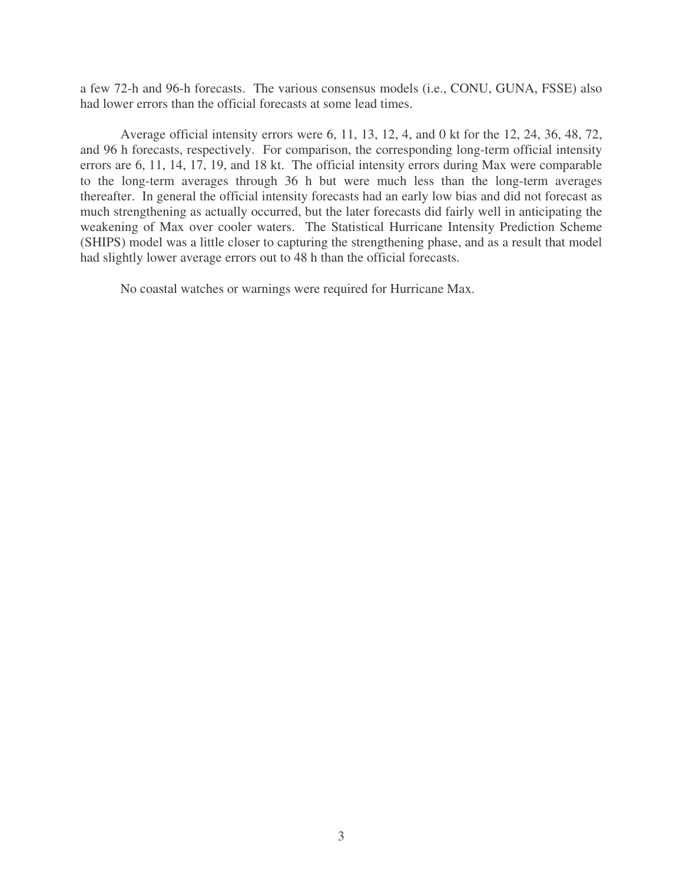a few 72-h and 96-h forecasts. The various consensus models (i.e., CONU, GUNA, FSSE) also had lower errors than the official forecasts at some lead times.

Average official intensity errors were 6, 11, 13, 12, 4, and 0 kt for the 12, 24, 36, 48, 72, and 96 h forecasts, respectively. For comparison, the corresponding long-term official intensity errors are 6, 11, 14, 17, 19, and 18 kt. The official intensity errors during Max were comparable to the long-term averages through 36 h but were much less than the long-term averages thereafter. In general the official intensity forecasts had an early low bias and did not forecast as much strengthening as actually occurred, but the later forecasts did fairly well in anticipating the weakening of Max over cooler waters. The Statistical Hurricane Intensity Prediction Scheme (SHIPS) model was a little closer to capturing the strengthening phase, and as a result that model had slightly lower average errors out to 48 h than the official forecasts.

No coastal watches or warnings were required for Hurricane Max.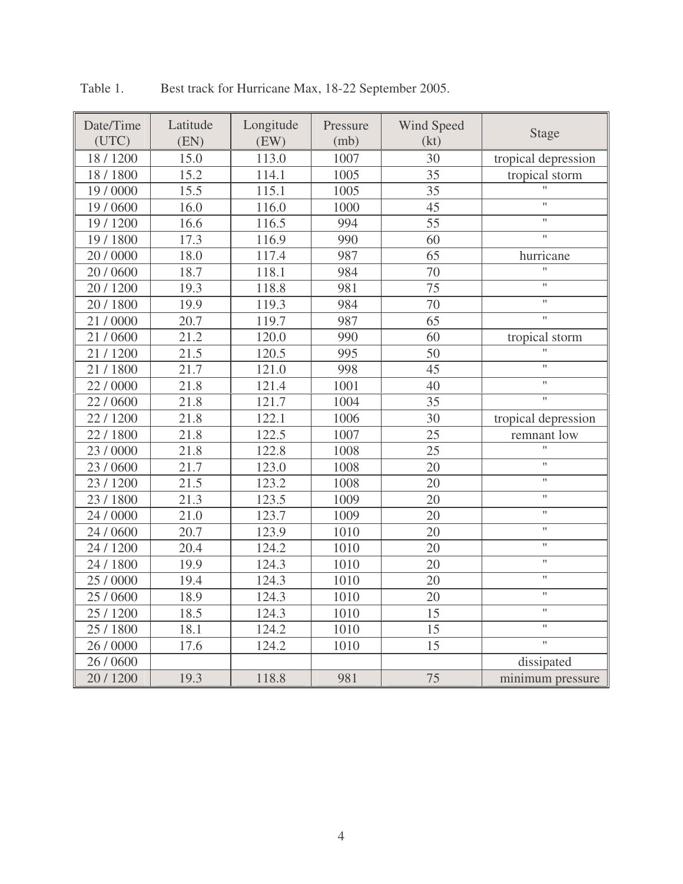| Date/Time | Latitude | Longitude | Pressure | Wind Speed | <b>Stage</b>                         |  |
|-----------|----------|-----------|----------|------------|--------------------------------------|--|
| (UTC)     | (EN)     | (EW)      | (mb)     | (kt)       |                                      |  |
| 18 / 1200 | 15.0     | 113.0     | 1007     | 30         | tropical depression                  |  |
| 18 / 1800 | 15.2     | 114.1     | 1005     | 35         | tropical storm<br>$\pmb{\mathsf{H}}$ |  |
| 19 / 0000 | 15.5     | 115.1     | 1005     | 35         |                                      |  |
| 19 / 0600 | 16.0     | 116.0     | 1000     | 45         | $\pmb{\mathsf{H}}$                   |  |
| 19 / 1200 | 16.6     | 116.5     | 994      | 55         | $\pmb{\mathsf{H}}$                   |  |
| 19 / 1800 | 17.3     | 116.9     | 990      | 60         | $\pmb{\mathsf{H}}$                   |  |
| 20 / 0000 | 18.0     | 117.4     | 987      | 65         | hurricane                            |  |
| 20 / 0600 | 18.7     | 118.1     | 984      | 70         | $\mathbf{H}$                         |  |
| 20 / 1200 | 19.3     | 118.8     | 981      | 75         | Ħ                                    |  |
| 20 / 1800 | 19.9     | 119.3     | 984      | 70         | $\pmb{\shortparallel}$               |  |
| 21/0000   | 20.7     | 119.7     | 987      | 65         | $\mathbf{H}$                         |  |
| 21/0600   | 21.2     | 120.0     | 990      | 60         | tropical storm                       |  |
| 21/1200   | 21.5     | 120.5     | 995      | 50         | $\pmb{\mathsf{H}}$                   |  |
| 21/1800   | 21.7     | 121.0     | 998      | 45         | $\pmb{\mathsf{H}}$                   |  |
| 22/0000   | 21.8     | 121.4     | 1001     | 40         | $\pmb{\mathsf{H}}$                   |  |
| 22/0600   | 21.8     | 121.7     | 1004     | 35         | $\boldsymbol{\mathsf{H}}$            |  |
| 22/1200   | 21.8     | 122.1     | 1006     | 30         | tropical depression                  |  |
| 22/1800   | 21.8     | 122.5     | 1007     | 25         | remnant low                          |  |
| 23 / 0000 | 21.8     | 122.8     | 1008     | 25         | $\mathbf{H}$                         |  |
| 23/0600   | 21.7     | 123.0     | 1008     | 20         | $\mathbf{H}$                         |  |
| 23 / 1200 | 21.5     | 123.2     | 1008     | 20         | $\pmb{\mathsf{H}}$                   |  |
| 23 / 1800 | 21.3     | 123.5     | 1009     | 20         | $\pmb{\mathsf{H}}$                   |  |
| 24 / 0000 | 21.0     | 123.7     | 1009     | 20         | $\pmb{\mathsf{H}}$                   |  |
| 24 / 0600 | 20.7     | 123.9     | 1010     | 20         | $\pmb{\mathcal{W}}$                  |  |
| 24 / 1200 | 20.4     | 124.2     | 1010     | 20         | $\boldsymbol{\mathsf{H}}$            |  |
| 24 / 1800 | 19.9     | 124.3     | 1010     | 20         | $\pmb{\mathcal{W}}$                  |  |
| 25 / 0000 | 19.4     | 124.3     | 1010     | 20         | Ħ                                    |  |
| 25 / 0600 | 18.9     | 124.3     | 1010     | 20         | $\pmb{\mathsf{H}}$                   |  |
| 25 / 1200 | 18.5     | 124.3     | 1010     | 15         | $\pmb{\mathsf{H}}$                   |  |
| 25 / 1800 | 18.1     | 124.2     | 1010     | 15         | $\pmb{\mathsf{H}}$                   |  |
| 26 / 0000 | 17.6     | 124.2     | 1010     | 15         | $\pmb{\mathsf{H}}$                   |  |
| 26 / 0600 |          |           |          |            | dissipated                           |  |
| 20 / 1200 | 19.3     | 118.8     | 981      | 75         | minimum pressure                     |  |

Table 1. Best track for Hurricane Max, 18-22 September 2005.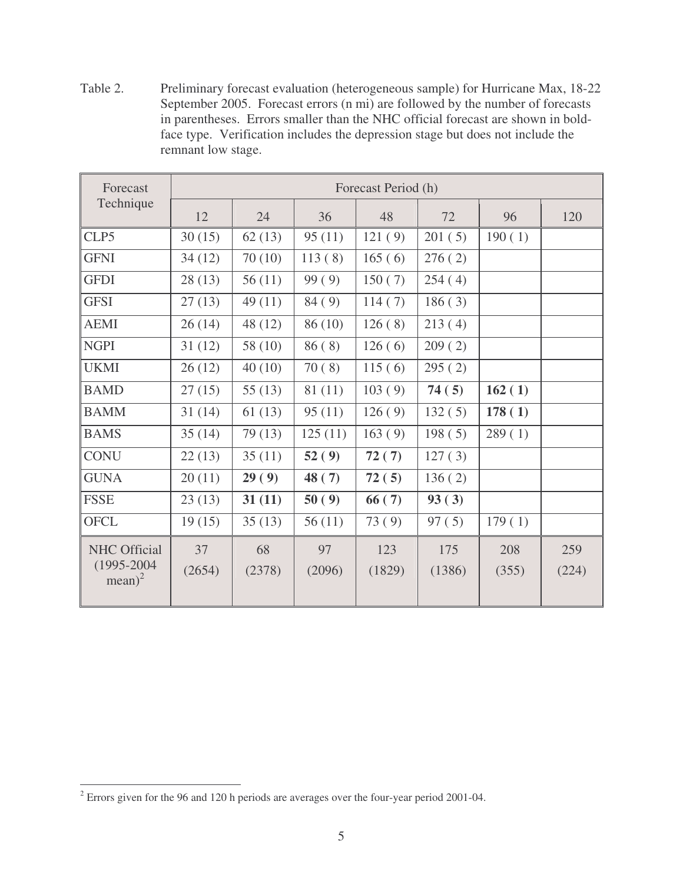Table 2. Preliminary forecast evaluation (heterogeneous sample) for Hurricane Max, 18-22 September 2005. Forecast errors (n mi) are followed by the number of forecasts in parentheses. Errors smaller than the NHC official forecast are shown in boldface type. Verification includes the depression stage but does not include the remnant low stage.

| Forecast                                            | Forecast Period (h) |              |              |               |               |              |              |  |  |
|-----------------------------------------------------|---------------------|--------------|--------------|---------------|---------------|--------------|--------------|--|--|
| Technique                                           | 12                  | 24           | 36           | 48            | 72            | 96           | 120          |  |  |
| CLP5                                                | 30(15)              | 62(13)       | 95(11)       | 121(9)        | 201(5)        | 190(1)       |              |  |  |
| <b>GFNI</b>                                         | 34(12)              | 70(10)       | 113(8)       | 165(6)        | 276(2)        |              |              |  |  |
| <b>GFDI</b>                                         | 28(13)              | 56(11)       | 99(9)        | 150(7)        | 254(4)        |              |              |  |  |
| <b>GFSI</b>                                         | 27(13)              | 49(11)       | 84(9)        | 114(7)        | 186(3)        |              |              |  |  |
| <b>AEMI</b>                                         | 26(14)              | 48 (12)      | 86 (10)      | 126(8)        | 213(4)        |              |              |  |  |
| <b>NGPI</b>                                         | 31(12)              | 58 (10)      | 86(8)        | 126(6)        | 209(2)        |              |              |  |  |
| <b>UKMI</b>                                         | 26(12)              | 40(10)       | 70(8)        | 115(6)        | 295(2)        |              |              |  |  |
| <b>BAMD</b>                                         | 27(15)              | 55 $(13)$    | 81 (11)      | 103(9)        | 74(5)         | 162(1)       |              |  |  |
| <b>BAMM</b>                                         | 31(14)              | 61(13)       | 95(11)       | 126(9)        | 132(5)        | 178(1)       |              |  |  |
| <b>BAMS</b>                                         | 35(14)              | 79 (13)      | 125(11)      | 163(9)        | 198(5)        | 289(1)       |              |  |  |
| <b>CONU</b>                                         | 22(13)              | 35(11)       | 52(9)        | 72(7)         | 127(3)        |              |              |  |  |
| <b>GUNA</b>                                         | 20(11)              | 29(9)        | 48(7)        | 72(5)         | 136(2)        |              |              |  |  |
| <b>FSSE</b>                                         | 23(13)              | 31(11)       | 50(9)        | 66(7)         | 93(3)         |              |              |  |  |
| <b>OFCL</b>                                         | 19(15)              | 35(13)       | 56(11)       | 73(9)         | 97(5)         | 179(1)       |              |  |  |
| <b>NHC</b> Official<br>$(1995 - 2004)$<br>$mean)^2$ | 37<br>(2654)        | 68<br>(2378) | 97<br>(2096) | 123<br>(1829) | 175<br>(1386) | 208<br>(355) | 259<br>(224) |  |  |

<sup>2</sup> Errors given for the 96 and 120 h periods are averages over the four-year period 2001-04.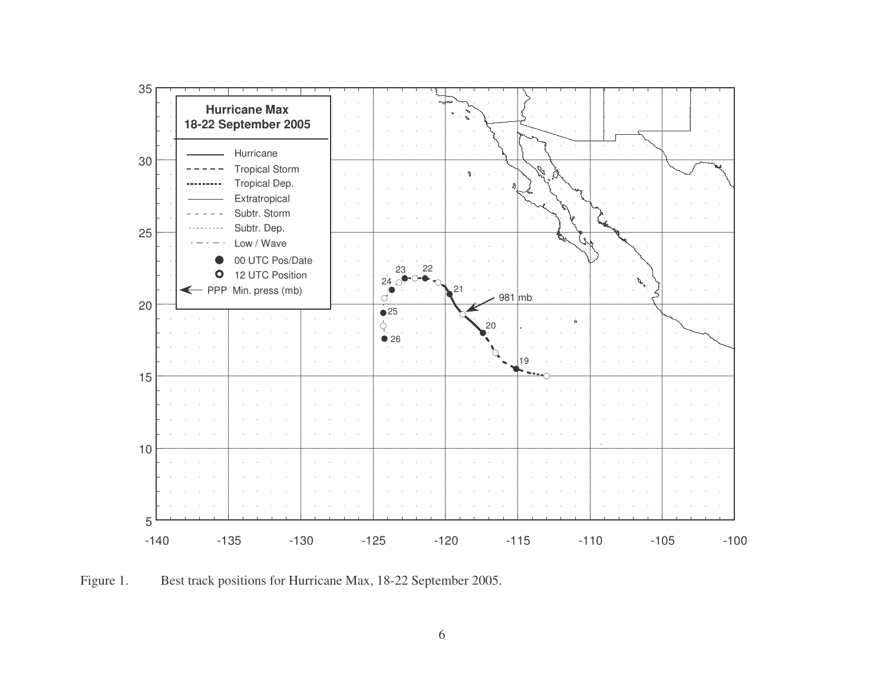

Figure 1. Best track positions for Hurricane Max, 18-22 September 2005.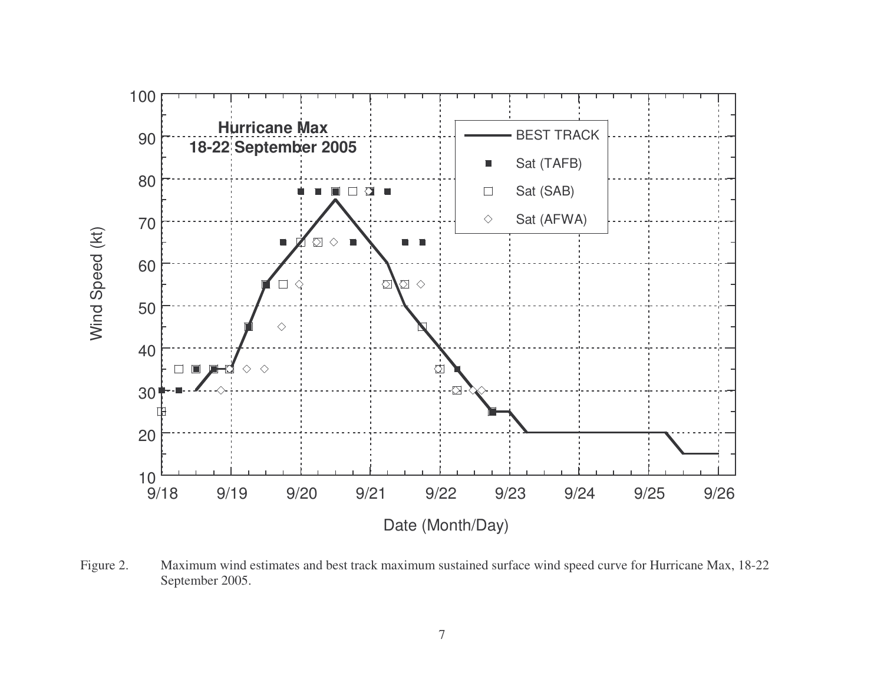

Figure 2. Maximum wind estimates and best track maximum sustained surface wind speed curve for Hurricane Max, 18-22 September 2005.